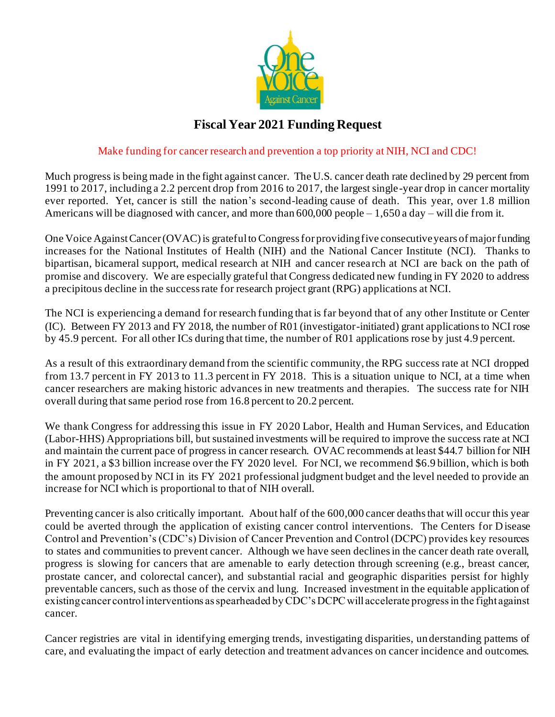

## **Fiscal Year 2021 Funding Request**

## Make funding for cancer research and prevention a top priority at NIH, NCI and CDC!

Much progress is being made in the fight against cancer. The U.S. cancer death rate declined by 29 percent from 1991 to 2017, including a 2.2 percent drop from 2016 to 2017, the largest single -year drop in cancer mortality ever reported. Yet, cancer is still the nation's second-leading cause of death. This year, over 1.8 million Americans will be diagnosed with cancer, and more than 600,000 people – 1,650 a day – will die from it.

One Voice Against Cancer (OVAC) is grateful to Congress for providing five consecutive years of major funding increases for the National Institutes of Health (NIH) and the National Cancer Institute (NCI). Thanks to bipartisan, bicameral support, medical research at NIH and cancer research at NCI are back on the path of promise and discovery. We are especially grateful that Congress dedicated new funding in FY 2020 to address a precipitous decline in the success rate for research project grant (RPG) applications at NCI.

The NCI is experiencing a demand for research funding that is far beyond that of any other Institute or Center (IC). Between FY 2013 and FY 2018, the number of R01 (investigator-initiated) grant applications to NCI rose by 45.9 percent. For all other ICs during that time, the number of R01 applications rose by just 4.9 percent.

As a result of this extraordinary demand from the scientific community, the RPG success rate at NCI dropped from 13.7 percent in FY 2013 to 11.3 percent in FY 2018. This is a situation unique to NCI, at a time when cancer researchers are making historic advances in new treatments and therapies. The success rate for NIH overall during that same period rose from 16.8 percent to 20.2 percent.

We thank Congress for addressing this issue in FY 2020 Labor, Health and Human Services, and Education (Labor-HHS) Appropriations bill, but sustained investments will be required to improve the success rate at NCI and maintain the current pace of progress in cancer research. OVAC recommends at least \$44.7 billion for NIH in FY 2021, a \$3 billion increase over the FY 2020 level. For NCI, we recommend \$6.9 billion, which is both the amount proposed by NCI in its FY 2021 professional judgment budget and the level needed to provide an increase for NCI which is proportional to that of NIH overall.

Preventing cancer is also critically important. About half of the 600,000 cancer deaths that will occur this year could be averted through the application of existing cancer control interventions. The Centers for Disease Control and Prevention's (CDC's) Division of Cancer Prevention and Control (DCPC) provides key resources to states and communities to prevent cancer. Although we have seen declines in the cancer death rate overall, progress is slowing for cancers that are amenable to early detection through screening (e.g., breast cancer, prostate cancer, and colorectal cancer), and substantial racial and geographic disparities persist for highly preventable cancers, such as those of the cervix and lung. Increased investment in the equitable application of existing cancer control interventions as spearheaded by CDC's DCPC will accelerate progress in the fight against cancer.

Cancer registries are vital in identifying emerging trends, investigating disparities, understanding patterns of care, and evaluating the impact of early detection and treatment advances on cancer incidence and outcomes.